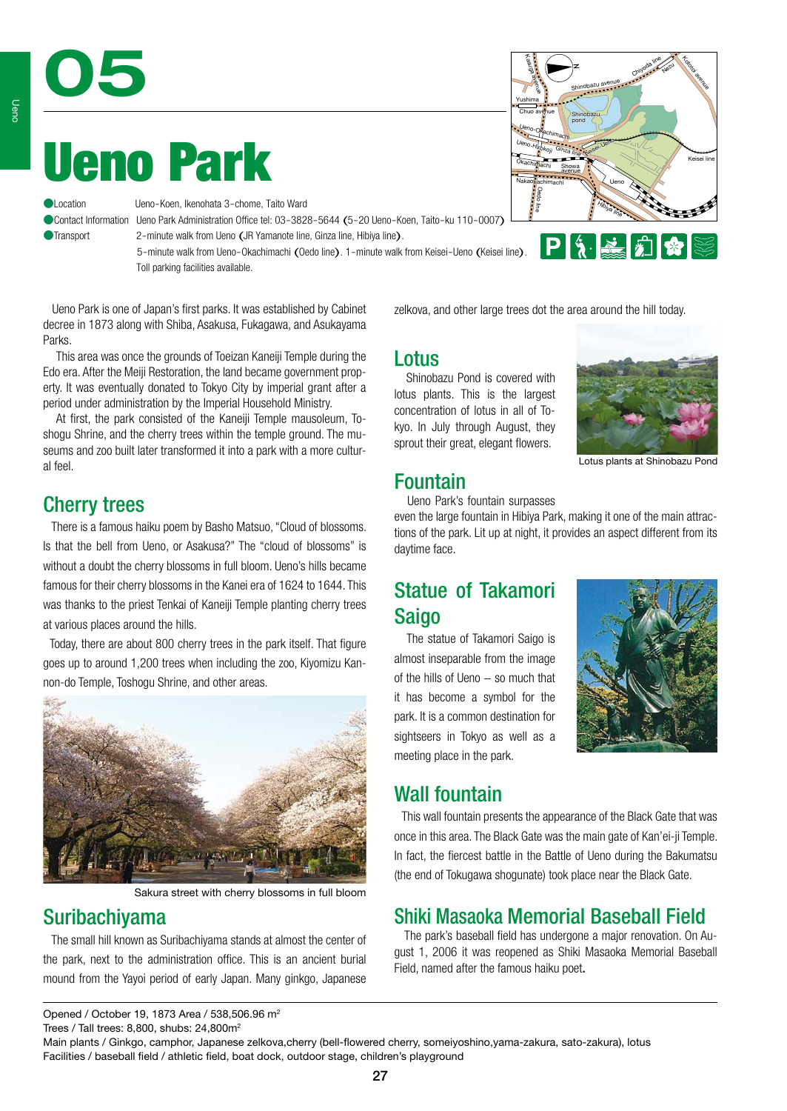# Ueno Park

05

Ueno-Koen, Ikenohata 3-chome, Taito Ward

●Contact Information Ueno Park Administration Office tel: 03-3828-5644 (5-20 Ueno-Koen, Taito-ku 110-0007) ●Transport 2-minute walk from Ueno (JR Yamanote line, Ginza line, Hibiya line).

> 5-minute walk from Ueno-Okachimachi (Oedo line). 1-minute walk from Keisei-Ueno (Keisei line). Toll parking facilities available.

Kasuga avenue Chiyoda line Kototoi avenue Nezu Shinobazu avenue Yushima Chuo avenue Shinobazu pond Ueno-Okachimachi Keisei-Ueno Ueno-Hirokoji Ginza line Okachimachi Showa avenue Nakaokachimachi Ueno Oedo line Hibiya line **PISEE** 

 Ueno Park is one of Japan's first parks. It was established by Cabinet decree in 1873 along with Shiba, Asakusa, Fukagawa, and Asukayama Parks.

This area was once the grounds of Toeizan Kaneiji Temple during the Edo era. After the Meiji Restoration, the land became government property. It was eventually donated to Tokyo City by imperial grant after a period under administration by the Imperial Household Ministry.

At first, the park consisted of the Kaneiii Temple mausoleum, Toshogu Shrine, and the cherry trees within the temple ground. The museums and zoo built later transformed it into a park with a more cultural feel.

## Cherry trees

 There is a famous haiku poem by Basho Matsuo, "Cloud of blossoms. Is that the bell from Ueno, or Asakusa?" The "cloud of blossoms" is without a doubt the cherry blossoms in full bloom. Ueno's hills became famous for their cherry blossoms in the Kanei era of 1624 to 1644. This was thanks to the priest Tenkai of Kaneiji Temple planting cherry trees at various places around the hills.

 Today, there are about 800 cherry trees in the park itself. That figure goes up to around 1,200 trees when including the zoo, Kiyomizu Kannon-do Temple, Toshogu Shrine, and other areas.



Sakura street with cherry blossoms in full bloom

## Suribachiyama

 The small hill known as Suribachiyama stands at almost the center of the park, next to the administration office. This is an ancient burial mound from the Yayoi period of early Japan. Many ginkgo, Japanese zelkova, and other large trees dot the area around the hill today.

### Lotus

daytime face.

 Shinobazu Pond is covered with lotus plants. This is the largest concentration of lotus in all of Tokyo. In July through August, they sprout their great, elegant flowers.



Lotus plants at Shinobazu Pond

#### Fountain Ueno Park's fountain surpasses

even the large fountain in Hibiya Park, making it one of the main attractions of the park. Lit up at night, it provides an aspect different from its

# Statue of Takamori Saigo

 The statue of Takamori Saigo is almost inseparable from the image of the hills of Ueno − so much that it has become a symbol for the park. It is a common destination for sightseers in Tokyo as well as a meeting place in the park.



# Wall fountain

 This wall fountain presents the appearance of the Black Gate that was once in this area. The Black Gate was the main gate of Kan'ei-ji Temple. In fact, the fiercest battle in the Battle of Ueno during the Bakumatsu (the end of Tokugawa shogunate) took place near the Black Gate.

# Shiki Masaoka Memorial Baseball Field

 The park's baseball field has undergone a major renovation. On August 1, 2006 it was reopened as Shiki Masaoka Memorial Baseball Field, named after the famous haiku poet.

Trees / Tall trees: 8,800, shubs: 24,800m2

Main plants / Ginkgo, camphor, Japanese zelkova,cherry (bell-flowered cherry, someiyoshino,yama-zakura, sato-zakura), lotus Facilities / baseball field / athletic field, boat dock, outdoor stage, children's playground

Opened / October 19, 1873 Area / 538,506.96 m2